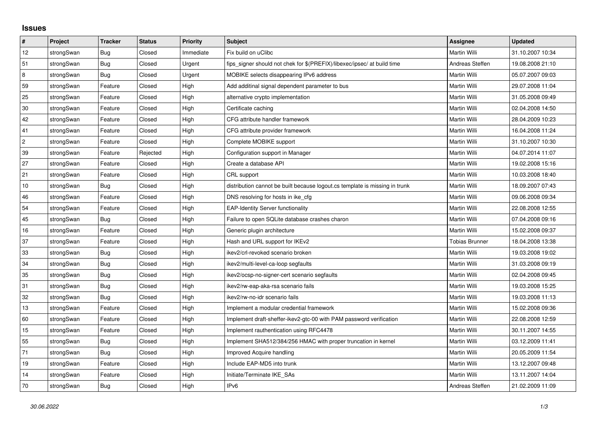## **Issues**

| $\vert$ #      | Project    | <b>Tracker</b> | <b>Status</b> | Priority  | Subject                                                                     | <b>Assignee</b>       | <b>Updated</b>   |
|----------------|------------|----------------|---------------|-----------|-----------------------------------------------------------------------------|-----------------------|------------------|
| 12             | strongSwan | Bug            | Closed        | Immediate | Fix build on uClibc                                                         | Martin Willi          | 31.10.2007 10:34 |
| 51             | strongSwan | Bug            | Closed        | Urgent    | fips signer should not chek for \$(PREFIX)/libexec/ipsec/ at build time     | Andreas Steffen       | 19.08.2008 21:10 |
| $\overline{8}$ | strongSwan | Bug            | Closed        | Urgent    | MOBIKE selects disappearing IPv6 address                                    | Martin Willi          | 05.07.2007 09:03 |
| 59             | strongSwan | Feature        | Closed        | High      | Add additinal signal dependent parameter to bus                             | Martin Willi          | 29.07.2008 11:04 |
| 25             | strongSwan | Feature        | Closed        | High      | alternative crypto implementation                                           | Martin Willi          | 31.05.2008 09:49 |
| $30\,$         | strongSwan | Feature        | Closed        | High      | Certificate caching                                                         | Martin Willi          | 02.04.2008 14:50 |
| 42             | strongSwan | Feature        | Closed        | High      | CFG attribute handler framework                                             | Martin Willi          | 28.04.2009 10:23 |
| 41             | strongSwan | Feature        | Closed        | High      | CFG attribute provider framework                                            | Martin Willi          | 16.04.2008 11:24 |
| $\overline{c}$ | strongSwan | Feature        | Closed        | High      | Complete MOBIKE support                                                     | Martin Willi          | 31.10.2007 10:30 |
| 39             | strongSwan | Feature        | Rejected      | High      | Configuration support in Manager                                            | Martin Willi          | 04.07.2014 11:07 |
| 27             | strongSwan | Feature        | Closed        | High      | Create a database API                                                       | Martin Willi          | 19.02.2008 15:16 |
| 21             | strongSwan | Feature        | Closed        | High      | CRL support                                                                 | Martin Willi          | 10.03.2008 18:40 |
| 10             | strongSwan | Bug            | Closed        | High      | distribution cannot be built because logout.cs template is missing in trunk | Martin Willi          | 18.09.2007 07:43 |
| 46             | strongSwan | Feature        | Closed        | High      | DNS resolving for hosts in ike cfg                                          | Martin Willi          | 09.06.2008 09:34 |
| 54             | strongSwan | Feature        | Closed        | High      | <b>EAP-Identity Server functionality</b>                                    | Martin Willi          | 22.08.2008 12:55 |
| 45             | strongSwan | Bug            | Closed        | High      | Failure to open SQLite database crashes charon                              | Martin Willi          | 07.04.2008 09:16 |
| 16             | strongSwan | Feature        | Closed        | High      | Generic plugin architecture                                                 | Martin Willi          | 15.02.2008 09:37 |
| 37             | strongSwan | Feature        | Closed        | High      | Hash and URL support for IKEv2                                              | <b>Tobias Brunner</b> | 18.04.2008 13:38 |
| $33\,$         | strongSwan | <b>Bug</b>     | Closed        | High      | ikev2/crl-revoked scenario broken                                           | Martin Willi          | 19.03.2008 19:02 |
| 34             | strongSwan | Bug            | Closed        | High      | ikev2/multi-level-ca-loop segfaults                                         | Martin Willi          | 31.03.2008 09:19 |
| 35             | strongSwan | Bug            | Closed        | High      | ikev2/ocsp-no-signer-cert scenario segfaults                                | Martin Willi          | 02.04.2008 09:45 |
| 31             | strongSwan | Bug            | Closed        | High      | ikev2/rw-eap-aka-rsa scenario fails                                         | Martin Willi          | 19.03.2008 15:25 |
| 32             | strongSwan | Bug            | Closed        | High      | ikev2/rw-no-idr scenario fails                                              | Martin Willi          | 19.03.2008 11:13 |
| 13             | strongSwan | Feature        | Closed        | High      | Implement a modular credential framework                                    | Martin Willi          | 15.02.2008 09:36 |
| 60             | strongSwan | Feature        | Closed        | High      | Implement draft-sheffer-ikev2-gtc-00 with PAM password verification         | Martin Willi          | 22.08.2008 12:59 |
| 15             | strongSwan | Feature        | Closed        | High      | Implement rauthentication using RFC4478                                     | Martin Willi          | 30.11.2007 14:55 |
| 55             | strongSwan | Bug            | Closed        | High      | Implement SHA512/384/256 HMAC with proper truncation in kernel              | Martin Willi          | 03.12.2009 11:41 |
| 71             | strongSwan | Bug            | Closed        | High      | Improved Acquire handling                                                   | Martin Willi          | 20.05.2009 11:54 |
| 19             | strongSwan | Feature        | Closed        | High      | Include EAP-MD5 into trunk                                                  | Martin Willi          | 13.12.2007 09:48 |
| 14             | strongSwan | Feature        | Closed        | High      | Initiate/Terminate IKE SAs                                                  | Martin Willi          | 13.11.2007 14:04 |
| 70             | strongSwan | Bug            | Closed        | High      | IP <sub>v6</sub>                                                            | Andreas Steffen       | 21.02.2009 11:09 |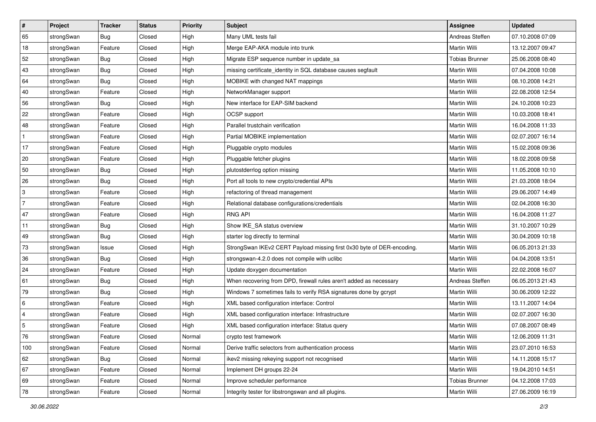| $\vert$ #                 | Project    | <b>Tracker</b> | <b>Status</b> | Priority | <b>Subject</b>                                                         | <b>Assignee</b>       | <b>Updated</b>   |
|---------------------------|------------|----------------|---------------|----------|------------------------------------------------------------------------|-----------------------|------------------|
| 65                        | strongSwan | <b>Bug</b>     | Closed        | High     | Many UML tests fail                                                    | Andreas Steffen       | 07.10.2008 07:09 |
| 18                        | strongSwan | Feature        | Closed        | High     | Merge EAP-AKA module into trunk                                        | Martin Willi          | 13.12.2007 09:47 |
| 52                        | strongSwan | <b>Bug</b>     | Closed        | High     | Migrate ESP sequence number in update sa                               | <b>Tobias Brunner</b> | 25.06.2008 08:40 |
| 43                        | strongSwan | <b>Bug</b>     | Closed        | High     | missing certificate_identity in SQL database causes segfault           | Martin Willi          | 07.04.2008 10:08 |
| 64                        | strongSwan | Bug            | Closed        | High     | MOBIKE with changed NAT mappings                                       | Martin Willi          | 08.10.2008 14:21 |
| 40                        | strongSwan | Feature        | Closed        | High     | NetworkManager support                                                 | Martin Willi          | 22.08.2008 12:54 |
| 56                        | strongSwan | Bug            | Closed        | High     | New interface for EAP-SIM backend                                      | Martin Willi          | 24.10.2008 10:23 |
| 22                        | strongSwan | Feature        | Closed        | High     | OCSP support                                                           | Martin Willi          | 10.03.2008 18:41 |
| 48                        | strongSwan | Feature        | Closed        | High     | Parallel trustchain verification                                       | Martin Willi          | 16.04.2008 11:33 |
| $\mathbf{1}$              | strongSwan | Feature        | Closed        | High     | Partial MOBIKE implementation                                          | Martin Willi          | 02.07.2007 16:14 |
| 17                        | strongSwan | Feature        | Closed        | High     | Pluggable crypto modules                                               | Martin Willi          | 15.02.2008 09:36 |
| 20                        | strongSwan | Feature        | Closed        | High     | Pluggable fetcher plugins                                              | Martin Willi          | 18.02.2008 09:58 |
| 50                        | strongSwan | Bug            | Closed        | High     | plutostderrlog option missing                                          | Martin Willi          | 11.05.2008 10:10 |
| 26                        | strongSwan | Bug            | Closed        | High     | Port all tools to new crypto/credential APIs                           | Martin Willi          | 21.03.2008 18:04 |
| $\ensuremath{\mathsf{3}}$ | strongSwan | Feature        | Closed        | High     | refactoring of thread management                                       | Martin Willi          | 29.06.2007 14:49 |
| $\overline{7}$            | strongSwan | Feature        | Closed        | High     | Relational database configurations/credentials                         | Martin Willi          | 02.04.2008 16:30 |
| 47                        | strongSwan | Feature        | Closed        | High     | <b>RNG API</b>                                                         | Martin Willi          | 16.04.2008 11:27 |
| 11                        | strongSwan | Bug            | Closed        | High     | Show IKE SA status overview                                            | Martin Willi          | 31.10.2007 10:29 |
| 49                        | strongSwan | <b>Bug</b>     | Closed        | High     | starter log directly to terminal                                       | Martin Willi          | 30.04.2009 10:18 |
| 73                        | strongSwan | Issue          | Closed        | High     | StrongSwan IKEv2 CERT Payload missing first 0x30 byte of DER-encoding. | Martin Willi          | 06.05.2013 21:33 |
| 36                        | strongSwan | Bug            | Closed        | High     | strongswan-4.2.0 does not compile with uclibc                          | Martin Willi          | 04.04.2008 13:51 |
| 24                        | strongSwan | Feature        | Closed        | High     | Update doxygen documentation                                           | Martin Willi          | 22.02.2008 16:07 |
| 61                        | strongSwan | Bug            | Closed        | High     | When recovering from DPD, firewall rules aren't added as necessary     | Andreas Steffen       | 06.05.2013 21:43 |
| 79                        | strongSwan | <b>Bug</b>     | Closed        | High     | Windows 7 sometimes fails to verify RSA signatures done by gcrypt      | Martin Willi          | 30.06.2009 12:22 |
| 6                         | strongSwan | Feature        | Closed        | High     | XML based configuration interface: Control                             | Martin Willi          | 13.11.2007 14:04 |
| $\overline{4}$            | strongSwan | Feature        | Closed        | High     | XML based configuration interface: Infrastructure                      | Martin Willi          | 02.07.2007 16:30 |
| 5                         | strongSwan | Feature        | Closed        | High     | XML based configuration interface: Status query                        | Martin Willi          | 07.08.2007 08:49 |
| 76                        | strongSwan | Feature        | Closed        | Normal   | crypto test framework                                                  | Martin Willi          | 12.06.2009 11:31 |
| 100                       | strongSwan | Feature        | Closed        | Normal   | Derive traffic selectors from authentication process                   | Martin Willi          | 23.07.2010 16:53 |
| 62                        | strongSwan | Bug            | Closed        | Normal   | ikev2 missing rekeying support not recognised                          | Martin Willi          | 14.11.2008 15:17 |
| 67                        | strongSwan | Feature        | Closed        | Normal   | Implement DH groups 22-24                                              | Martin Willi          | 19.04.2010 14:51 |
| 69                        | strongSwan | Feature        | Closed        | Normal   | Improve scheduler performance                                          | <b>Tobias Brunner</b> | 04.12.2008 17:03 |
| 78                        | strongSwan | Feature        | Closed        | Normal   | Integrity tester for libstrongswan and all plugins.                    | Martin Willi          | 27.06.2009 16:19 |